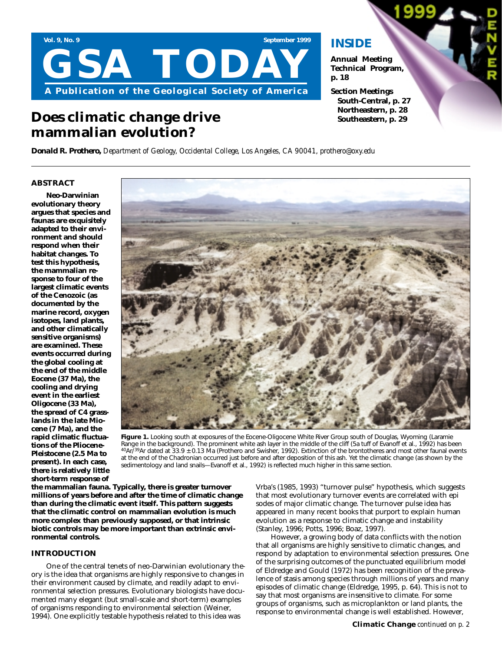

## **Does climatic change drive mammalian evolution?**

### **INSIDE**

**Annual Meeting Technical Program, p. 18**

**Section Meetings South-Central, p. 27 Northeastern, p. 28 Southeastern, p. 29**

*Donald R. Prothero, Department of Geology, Occidental College, Los Angeles, CA 90041, prothero@oxy.edu*

### **ABSTRACT**

**Neo-Darwinian evolutionary theory argues that species and faunas are exquisitely adapted to their environment and should respond when their habitat changes. To test this hypothesis, the mammalian response to four of the largest climatic events of the Cenozoic (as documented by the marine record, oxygen isotopes, land plants, and other climatically sensitive organisms) are examined. These events occurred during the global cooling at the end of the middle Eocene (37 Ma), the cooling and drying event in the earliest Oligocene (33 Ma), the spread of C4 grasslands in the late Miocene (7 Ma), and the rapid climatic fluctuations of the Pliocene-Pleistocene (2.5 Ma to present). In each case, there is relatively little short-term response of**



Figure 1. Looking south at exposures of the Eocene-Oligocene White River Group south of Douglas, Wyoming (Laramie Range in the background). The prominent white ash layer in the middle of the cliff (5a tuff of Evanoff et al., 1992) has been  $40$ Ar<sup>739</sup>Ar dated at 33.9  $\pm$  0.13 Ma (Prothero and Swisher, 1992). Extinction of the brontotheres and most other faunal events at the end of the Chadronian occurred just before and after deposition of this ash. Yet the climatic change (as shown by the sedimentology and land snails—Evanoff et al., 1992) is reflected much higher in this same section.

**the mammalian fauna. Typically, there is greater turnover millions of years before and after the time of climatic change than during the climatic event itself. This pattern suggests that the climatic control on mammalian evolution is much more complex than previously supposed, or that intrinsic biotic controls may be more important than extrinsic environmental controls.**

#### **INTRODUCTION**

One of the central tenets of neo-Darwinian evolutionary theory is the idea that organisms are highly responsive to changes in their environment caused by climate, and readily adapt to environmental selection pressures. Evolutionary biologists have documented many elegant (but small-scale and short-term) examples of organisms responding to environmental selection (Weiner, 1994). One explicitly testable hypothesis related to this idea was

Vrba's (1985, 1993) "turnover pulse" hypothesis, which suggests that most evolutionary turnover events are correlated with epi sodes of major climatic change. The turnover pulse idea has appeared in many recent books that purport to explain human evolution as a response to climatic change and instability (Stanley, 1996; Potts, 1996; Boaz, 1997).

However, a growing body of data conflicts with the notion that all organisms are highly sensitive to climatic changes, and respond by adaptation to environmental selection pressures. One of the surprising outcomes of the punctuated equilibrium model of Eldredge and Gould (1972) has been recognition of the prevalence of stasis among species through millions of years and many episodes of climatic change (Eldredge, 1995, p. 64). This is not to say that most organisms are insensitive to climate. For some groups of organisms, such as microplankton or land plants, the response to environmental change is well established. However,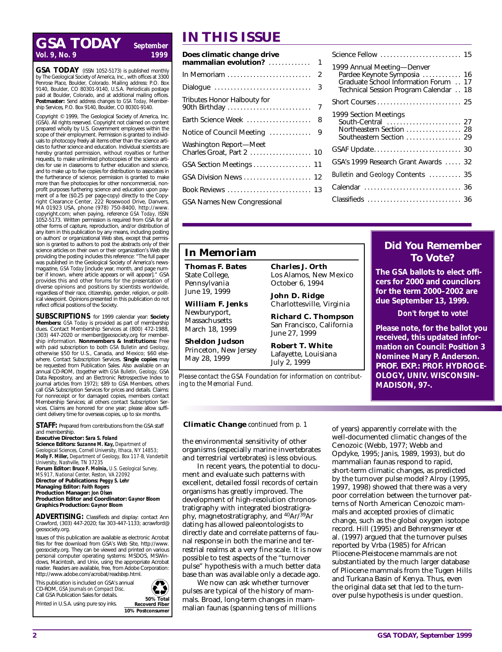## **IN THIS ISSUE**<br>Vol. 9, No. 9 *Vol. 9, No. 9*

**GSA TODAY** (ISSN 1052-5173) is published monthly by The Geological Society of America, Inc., with offices at 3300 Penrose Place, Boulder, Colorado. Mailing address: P.O. Box 9140, Boulder, CO 80301-9140, U.S.A. Periodicals postage paid at Boulder, Colorado, and at additional mailing offices. **Postmaster:** Send address changes to *GSA Today,* Membership Services, P.O. Box 9140, Boulder, C.O. 80301-9140.

Copyright © 1999, The Geological Society of America, Inc. (GSA). All rights reserved. Copyright not claimed on content prepared wholly by U.S. Government employees within the scope of their employment. Permission is granted to individuals to photocopy freely all items other than the science articles to further science and education. Individual scientists are hereby granted permission, without royalties or further requests, to make unlimited photocopies of the science articles for use in classrooms to further education and science, and to make up to five copies for distribution to associates in the furtherance of science; permission is granted to make more than five photocopies for other noncommercial, nonprofit purposes furthering science and education upon payment of a fee (\$0.25 per page-copy) directly to the Copyright Clearance Center, 222 Rosewood Drive, Danvers, MA 01923 USA, phone (978) 750-8400, http://www. copyright.com; when paying, reference *GSA Today,* ISSN 1052-5173. Written permission is required from GSA for all other forms of capture, reproduction, and/or distribution of any item in this publication by any means, including posting on authors' or organizational Web sites, except that permission is granted to authors to post the abstracts only of their science articles on their own or their organization's Web site providing the posting includes this reference: "The full paper was published in the Geological Society of America's newsmagazine, *GSA Today* [include year, month, and page number if known, where article appears or will appear]." GSA provides this and other forums for the presentation of diverse opinions and positions by scientists worldwide, regardless of their race, citizenship, gender, religion, or political viewpoint. Opinions presented in this publication do not reflect official positions of the Society.

**SUBSCRIPTIONS** for 1999 calendar year: **Society Members:** *GSA Today* is provided as part of membership dues. Contact Membership Services at (800) 472-1988, (303) 447-2020 or member@geosociety.org for membership information. **Nonmembers & Institutions:** Free with paid subscription to both *GSA Bulletin* and *Geology,* otherwise \$50 for U.S., Canada, and Mexico; \$60 elsewhere. Contact Subscription Services. **Single copies** may be requested from Publication Sales. Also available on an annual CD-ROM, (together with *GSA Bulletin, Geology,* GSA Data Repository, and an Electronic Retrospective Index to journal articles from 1972); \$89 to GSA Members, others call GSA Subscription Services for prices and details. Claims: For nonreceipt or for damaged copies, members contact Membership Services; all others contact Subscription Services. Claims are honored for one year; please allow sufficient delivery time for overseas copies, up to six months.

**STAFF:** Prepared from contributions from the GSA staff and membership.

**Executive Director:** *Sara S. Foland* **Science Editors:** *Suzanne M. Kay, Department of Geological Sciences, Cornell University, Ithaca, NY 14853; Molly F. Miller, Department of Geology, Box 117-B, Vanderbilt University, Nashville, TN 37235* **Forum Editor:** *Bruce F. Molnia, U.S. Geological Survey,*

*MS 917, National Center, Reston, VA 22092* **Director of Publications:** *Peggy S. Lehr*

**Managing Editor:** *Faith Rogers*

**Production Manager:** *Jon Olsen*

**Production Editor and Coordinator:** *Gaynor Bloom* **Graphics Production:** *Gaynor Bloom*

**ADVERTISING:** Classifieds and display: contact Ann Crawford, (303) 447-2020; fax 303-447-1133; acrawford@ geosociety.org.

Issues of this publication are available as electronic Acrobat files for free download from GSA's Web Site, http://www. geosociety.org. They can be viewed and printed on various personal computer operating systems: MSDOS, MSWindows, Macintosh, and Unix, using the appropriate Acrobat reader. Readers are available, free, from Adobe Corporation: http://www.adobe.com/acrobat/readstep.html.

This publication is included on GSA's annual CD-ROM, *GSA Journals on Compact Disc.*  Call GSA Publication Sales for details. Printed in U.S.A. using pure soy inks. **50% Total** 



| Does climatic change drive                          |   |  |
|-----------------------------------------------------|---|--|
|                                                     |   |  |
|                                                     |   |  |
| Dialogue                                            | 3 |  |
| Tributes Honor Halbouty for                         |   |  |
| Earth Science Week  8                               |   |  |
| Notice of Council Meeting                           | 9 |  |
| Washington Report—Meet<br>Charles Groat, Part 2  10 |   |  |
| GSA Section Meetings  11                            |   |  |
| GSA Division News  12                               |   |  |
| Book Reviews  13                                    |   |  |
| <b>GSA Names New Congressional</b>                  |   |  |
|                                                     |   |  |

| Science Fellow  15                                                                                                                         |  |
|--------------------------------------------------------------------------------------------------------------------------------------------|--|
| 1999 Annual Meeting-Denver<br>Pardee Keynote Symposia  16<br>Graduate School Information Forum 17<br>Technical Session Program Calendar 18 |  |
|                                                                                                                                            |  |
| 1999 Section Meetings<br>South-Central  27<br>Northeastern Section  28<br>Southeastern Section  29                                         |  |
|                                                                                                                                            |  |
| GSA's 1999 Research Grant Awards  32                                                                                                       |  |
| Bulletin and Geology Contents  35                                                                                                          |  |
| Calendar  36                                                                                                                               |  |
| Classifieds  36                                                                                                                            |  |

**Did You Remember To Vote? The GSA ballots to elect officers for 2000 and councilors for the term 2000–2002 are due September 13, 1999.**

*Don't forget to vote!* **Please note, for the ballot you received, this updated information on Council: Position 3 Nominee Mary P. Anderson. PROF. EXP.: PROF. HYDROGE-OLOGY, UNIV. WISCONSIN–**

### **In Memoriam**

**Thomas F. Bates** State College, Pennsylvania June 19, 1999

**William F. Jenks** Newburyport, Massachusetts

March 18, 1999

**Sheldon Judson** Princeton, New Jersey May 28, 1999

**Charles J. Orth** Los Alamos, New Mexico October 6, 1994

**John D. Ridge** Charlottesville, Virginia

**Richard C. Thompson** San Francisco, California June 27, 1999

**Robert T. White** Lafayette, Louisiana July 2, 1999

*Please contact the GSA Foundation for information on contributing to the Memorial Fund.*

#### **Climatic Change** *continued from p. 1*

the environmental sensitivity of other organisms (especially marine invertebrates and terrestrial vertebrates) is less obvious.

In recent years, the potential to document and evaluate such patterns with excellent, detailed fossil records of certain organisms has greatly improved. The development of high-resolution chronostratigraphy with integrated biostratigraphy, magnetostratigraphy, and 40Ar/39Ar dating has allowed paleontologists to directly date and correlate patterns of faunal response in both the marine and terrestrial realms at a very fine scale. It is now possible to test aspects of the "turnover pulse" hypothesis with a much better data base than was available only a decade ago.

We now can ask whether turnover pulses are typical of the history of mammals. Broad, long-term changes in mammalian faunas (spanning tens of millions of years) apparently correlate with the well-documented climatic changes of the Cenozoic (Webb, 1977; Webb and Opdyke, 1995; Janis, 1989, 1993), but do mammalian faunas respond to rapid, short-term climatic changes, as predicted by the turnover pulse model? Alroy (1995, 1997, 1998) showed that there was a very poor correlation between the turnover patterns of North American Cenozoic mammals and accepted proxies of climatic change, such as the global oxygen isotope record. Hill (1995) and Behrensmeyer et al. (1997) argued that the turnover pulses reported by Vrba (1985) for African Pliocene-Pleistocene mammals are not substantiated by the much larger database of Pliocene mammals from the Tugen Hills and Turkana Basin of Kenya. Thus, even the original data set that led to the turnover pulse hypothesis is under question.

**MADISON, 97-.**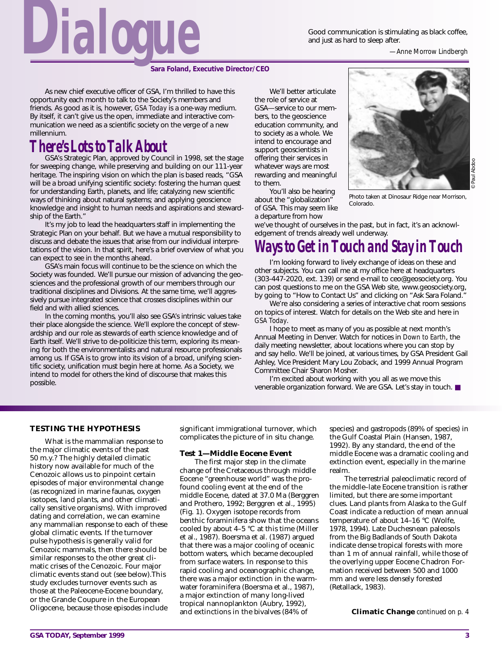Good communication is stimulating as black coffee, Food communication is stimulating as black coffee,<br>and just as hard to sleep after.<br>*—Anne Morrow Lindbergh* 



As new chief executive officer of GSA, I'm thrilled to have this opportunity each month to talk to the Society's members and friends. As good as it is, however, *GSA Today* is a one-way medium. By itself, it can't give us the open, immediate and interactive communication we need as a scientific society on the verge of a new millennium.

## *There's Lots to Talk About*

GSA's Strategic Plan, approved by Council in 1998, set the stage for sweeping change, while preserving and building on our 111-year heritage. The inspiring vision on which the plan is based reads, "GSA will be a broad unifying scientific society: fostering the human quest for understanding Earth, planets, and life; catalyzing new scientific ways of thinking about natural systems; and applying geoscience knowledge and insight to human needs and aspirations and stewardship of the Earth."

It's my job to lead the headquarters staff in implementing the Strategic Plan on your behalf. But we have a mutual responsibility to discuss and debate the issues that arise from our individual interpretations of the vision. In that spirit, here's a brief overview of what you can expect to see in the months ahead.

GSA's main focus will continue to be the science on which the Society was founded. We'll pursue our mission of advancing the geosciences and the professional growth of our members through our traditional disciplines and Divisions. At the same time, we'll aggressively pursue integrated science that crosses disciplines within our field and with allied sciences.

In the coming months, you'll also see GSA's intrinsic values take their place alongside the science. We'll explore the concept of stewardship and our role as stewards of earth science knowledge and of Earth itself. We'll strive to de-politicize this term, exploring its meaning for both the environmentalists and natural resource professionals among us. If GSA is to grow into its vision of a broad, unifying scientific society, unification must begin here at home. As a Society, we intend to model for others the kind of discourse that makes this possible.

We'll better articulate the role of service at GSA—service to our members, to the geoscience education community, and to society as a whole. We intend to encourage and support geoscientists in offering their services in whatever ways are most rewarding and meaningful to them. You'll also be hearing

about the "globalization" of GSA. This may seem like



Paul Abdoo © Paul Abdoo

Photo taken at Dinosaur Ridge near Morrison, Colorado.

a departure from how we've thought of ourselves in the past, but in fact, it's an acknowledgement of trends already well underway.

## *Ways to Get in Touch and Stay in Touch*

I'm looking forward to lively exchange of ideas on these and other subjects. You can call me at my office here at headquarters (303-447-2020, ext. 139) or send e-mail to ceo@geosociety.org. You can post questions to me on the GSA Web site, www.geosociety.org, by going to "How to Contact Us" and clicking on "Ask Sara Foland."

We're also considering a series of interactive chat room sessions on topics of interest. Watch for details on the Web site and here in *GSA Today*.

I hope to meet as many of you as possible at next month's Annual Meeting in Denver. Watch for notices in *Down to Earth*, the daily meeting newsletter, about locations where you can stop by and say hello. We'll be joined, at various times, by GSA President Gail Ashley, Vice President Mary Lou Zoback, and 1999 Annual Program Committee Chair Sharon Mosher.

I'm excited about working with you all as we move this venerable organization forward. We are GSA. Let's stay in touch. ■

#### **TESTING THE HYPOTHESIS**

What is the mammalian response to the major climatic events of the past 50 m.y.? The highly detailed climatic history now available for much of the Cenozoic allows us to pinpoint certain episodes of major environmental change (as recognized in marine faunas, oxygen isotopes, land plants, and other climatically sensitive organisms). With improved dating and correlation, we can examine any mammalian response to each of these global climatic events. If the turnover pulse hypothesis is generally valid for Cenozoic mammals, then there should be similar responses to the other great climatic crises of the Cenozoic. Four major climatic events stand out (see below).This study excludes turnover events such as those at the Paleocene-Eocene boundary, or the Grande Coupure in the European Oligocene, because those episodes include significant immigrational turnover, which complicates the picture of in situ change.

#### **Test 1—Middle Eocene Event**

The first major step in the climate change of the Cretaceous through middle Eocene "greenhouse world" was the profound cooling event at the end of the middle Eocene, dated at 37.0 Ma (Berggren and Prothero, 1992; Berggren et al., 1995) (Fig. 1). Oxygen isotope records from benthic foraminifera show that the oceans cooled by about 4–5 °C at this time (Miller et al., 1987). Boersma et al. (1987) argued that there was a major cooling of oceanic bottom waters, which became decoupled from surface waters. In response to this rapid cooling and oceanographic change, there was a major extinction in the warmwater foraminifera (Boersma et al., 1987), a major extinction of many long-lived tropical nannoplankton (Aubry, 1992), and extinctions in the bivalves (84% of

species) and gastropods (89% of species) in the Gulf Coastal Plain (Hansen, 1987, 1992). By any standard, the end of the middle Eocene was a dramatic cooling and extinction event, especially in the marine realm.

The terrestrial paleoclimatic record of the middle–late Eocene transition is rather limited, but there are some important clues. Land plants from Alaska to the Gulf Coast indicate a reduction of mean annual temperature of about 14–16 °C (Wolfe, 1978, 1994). Late Duchesnean paleosols from the Big Badlands of South Dakota indicate dense tropical forests with more than 1 m of annual rainfall, while those of the overlying upper Eocene Chadron Formation received between 500 and 1000 mm and were less densely forested (Retallack, 1983).

**Climatic Change** *continued on p. 4*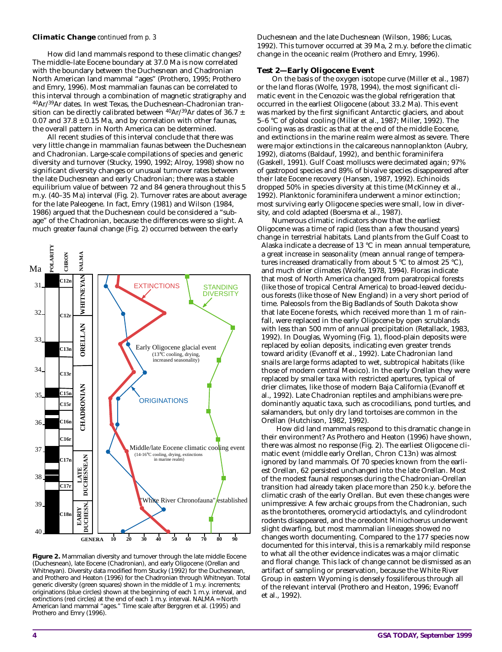#### **Climatic Change** *continued from p. 3*

How did land mammals respond to these climatic changes? The middle–late Eocene boundary at 37.0 Ma is now correlated with the boundary between the Duchesnean and Chadronian North American land mammal "ages" (Prothero, 1995; Prothero and Emry, 1996). Most mammalian faunas can be correlated to this interval through a combination of magnetic stratigraphy and 40Ar/39Ar dates. In west Texas, the Duchesnean-Chadronian transition can be directly calibrated between  $^{40}Ar/^{39}Ar$  dates of 36.7 ± 0.07 and  $37.8 \pm 0.15$  Ma, and by correlation with other faunas, the overall pattern in North America can be determined.

All recent studies of this interval conclude that there was very little change in mammalian faunas between the Duchesnean and Chadronian. Large-scale compilations of species and generic diversity and turnover (Stucky, 1990, 1992; Alroy, 1998) show no significant diversity changes or unusual turnover rates between the late Duchesnean and early Chadronian; there was a stable equilibrium value of between 72 and 84 genera throughout this 5 m.y. (40–35 Ma) interval (Fig. 2). Turnover rates are about average for the late Paleogene. In fact, Emry (1981) and Wilson (1984, 1986) argued that the Duchesnean could be considered a "subage" of the Chadronian, because the differences were so slight. A much greater faunal change (Fig. 2) occurred between the early



**Figure 2.** Mammalian diversity and turnover through the late middle Eocene (Duchesnean), late Eocene (Chadronian), and early Oligocene (Orellan and Whitneyan). Diversity data modified from Stucky (1992) for the Duchesnean, and Prothero and Heaton (1996) for the Chadronian through Whitneyan. Total generic diversity (green squares) shown in the middle of 1 m.y. increments; originations (blue circles) shown at the beginning of each 1 m.y. interval, and extinctions (red circles) at the end of each 1 m.y. interval. NALMA = North American land mammal "ages." Time scale after Berggren et al. (1995) and Prothero and Emry (1996).

Duchesnean and the late Duchesnean (Wilson, 1986; Lucas, 1992). This turnover occurred at 39 Ma, 2 m.y. before the climatic change in the oceanic realm (Prothero and Emry, 1996).

#### **Test 2—Early Oligocene Event**

On the basis of the oxygen isotope curve (Miller et al., 1987) or the land floras (Wolfe, 1978, 1994), the most significant climatic event in the Cenozoic was the global refrigeration that occurred in the earliest Oligocene (about 33.2 Ma). This event was marked by the first significant Antarctic glaciers, and about 5–6 °C of global cooling (Miller et al., 1987; Miller, 1992). The cooling was as drastic as that at the end of the middle Eocene, and extinctions in the marine realm were almost as severe. There were major extinctions in the calcareous nannoplankton (Aubry, 1992), diatoms (Baldauf, 1992), and benthic foraminifera (Gaskell, 1991). Gulf Coast molluscs were decimated again; 97% of gastropod species and 89% of bivalve species disappeared after their late Eocene recovery (Hansen, 1987, 1992). Echinoids dropped 50% in species diversity at this time (McKinney et al., 1992). Planktonic foraminifera underwent a minor extinction; most surviving early Oligocene species were small, low in diversity, and cold adapted (Boersma et al., 1987).

Numerous climatic indicators show that the earliest Oligocene was a time of rapid (less than a few thousand years) change in terrestrial habitats. Land plants from the Gulf Coast to Alaska indicate a decrease of 13 °C in mean annual temperature, a great increase in seasonality (mean annual range of temperatures increased dramatically from about 5 °C to almost 25 °C), and much drier climates (Wolfe, 1978, 1994). Floras indicate that most of North America changed from paratropical forests (like those of tropical Central America) to broad-leaved deciduous forests (like those of New England) in a very short period of time. Paleosols from the Big Badlands of South Dakota show that late Eocene forests, which received more than 1 m of rainfall, were replaced in the early Oligocene by open scrublands with less than 500 mm of annual precipitation (Retallack, 1983, 1992). In Douglas, Wyoming (Fig. 1), flood-plain deposits were replaced by eolian deposits, indicating even greater trends toward aridity (Evanoff et al., 1992). Late Chadronian land snails are large forms adapted to wet, subtropical habitats (like those of modern central Mexico). In the early Orellan they were replaced by smaller taxa with restricted apertures, typical of drier climates, like those of modern Baja California (Evanoff et al., 1992). Late Chadronian reptiles and amphibians were predominantly aquatic taxa, such as crocodilians, pond turtles, and salamanders, but only dry land tortoises are common in the Orellan (Hutchison, 1982, 1992).

How did land mammals respond to this dramatic change in their environment? As Prothero and Heaton (1996) have shown, there was almost no response (Fig. 2). The earliest Oligocene climatic event (middle early Orellan, Chron C13n) was almost ignored by land mammals. Of 70 species known from the earliest Orellan, 62 persisted unchanged into the late Orellan. Most of the modest faunal responses during the Chadronian-Orellan transition had already taken place more than 250 k.y. before the climatic crash of the early Orellan. But even these changes were unimpressive: A few archaic groups from the Chadronian, such as the brontotheres, oromerycid artiodactyls, and cylindrodont rodents disappeared, and the oreodont *Miniochoerus* underwent slight dwarfing, but most mammalian lineages showed no changes worth documenting. Compared to the 177 species now documented for this interval, this is a remarkably mild response to what all the other evidence indicates was a major climatic and floral change. This lack of change cannot be dismissed as an artifact of sampling or preservation, because the White River Group in eastern Wyoming is densely fossiliferous through all of the relevant interval (Prothero and Heaton, 1996; Evanoff et al., 1992).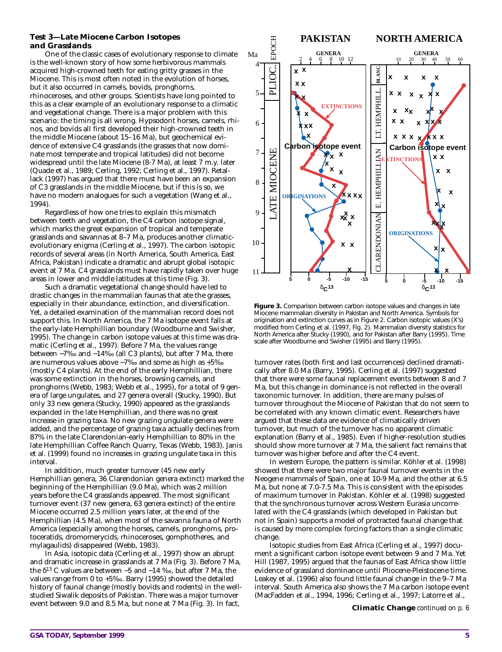#### **Test 3—Late Miocene Carbon Isotopes and Grasslands**

One of the classic cases of evolutionary response to climate is the well-known story of how some herbivorous mammals acquired high-crowned teeth for eating gritty grasses in the Miocene. This is most often noted in the evolution of horses, but it also occurred in camels, bovids, pronghorns, rhinoceroses, and other groups. Scientists have long pointed to this as a clear example of an evolutionary response to a climatic and vegetational change. There is a major problem with this scenario: the timing is all wrong. Hypsodont horses, camels, rhinos, and bovids all first developed their high-crowned teeth in the middle Miocene (about 15–16 Ma), but geochemical evidence of extensive C4 grasslands (the grasses that now dominate most temperate and tropical latitudes) did not become widespread until the late Miocene (8-7 Ma), at least 7 m.y. later (Quade et al., 1989; Cerling, 1992; Cerling et al., 1997). Retallack (1997) has argued that there must have been an expansion of C3 grasslands in the middle Miocene, but if this is so, we have no modern analogues for such a vegetation (Wang et al., 1994).

Regardless of how one tries to explain this mismatch between teeth and vegetation, the C4 carbon isotope signal, which marks the great expansion of tropical and temperate grasslands and savannas at 8–7 Ma, produces another climaticevolutionary enigma (Cerling et al., 1997). The carbon isotopic records of several areas (in North America, South America, East Africa, Pakistan) indicate a dramatic and abrupt global isotopic event at 7 Ma. C4 grasslands must have rapidly taken over huge areas in lower and middle latitudes at this time (Fig. 3).

Such a dramatic vegetational change should have led to drastic changes in the mammalian faunas that ate the grasses, especially in their abundance, extinction, and diversification. Yet, a detailed examination of the mammalian record does not support this. In North America, the 7 Ma isotope event falls at the early-late Hemphillian boundary (Woodburne and Swisher, 1995). The change in carbon isotope values at this time was dramatic (Cerling et al., 1997). Before 7 Ma, the values range between −7‰ and −14‰ (all C3 plants), but after 7 Ma, there are numerous values above −7‰ and some as high as +5‰ (mostly C4 plants). At the end of the early Hemphillian, there was some extinction in the horses, browsing camels, and pronghorns (Webb, 1983; Webb et al., 1995), for a total of 9 genera of large ungulates, and 27 genera overall (Stucky, 1990). But only 33 new genera (Stucky, 1990) appeared as the grasslands expanded in the late Hemphillian, and there was no great increase in grazing taxa. No new grazing ungulate genera were added, and the percentage of grazing taxa actually declines from 87% in the late Clarendonian-early Hemphillian to 80% in the late Hemphillian Coffee Ranch Quarry, Texas (Webb, 1983). Janis et al. (1999) found no increases in grazing ungulate taxa in this interval.

In addition, much greater turnover (45 new early Hemphillian genera, 36 Clarendonian genera extinct) marked the beginning of the Hemphillian (9.0 Ma), which was 2 million years before the C4 grasslands appeared. The most significant turnover event (37 new genera, 63 genera extinct) of the entire Miocene occurred 2.5 million years later, at the end of the Hemphillian (4.5 Ma), when most of the savanna fauna of North America (especially among the horses, camels, pronghorns, protoceratids, dromomerycids, rhinoceroses, gomphotheres, and mylagaulids) disappeared (Webb, 1983).

In Asia, isotopic data (Cerling et al., 1997) show an abrupt and dramatic increase in grasslands at 7 Ma (Fig. 3). Before 7 Ma, the δ<sup>13</sup> C values are between −5 and −14 ‰, but after 7 Ma, the values range from 0 to +5‰. Barry (1995) showed the detailed history of faunal change (mostly bovids and rodents) in the wellstudied Siwalik deposits of Pakistan. There was a major turnover event between 9.0 and 8.5 Ma, but none at 7 Ma (Fig. 3). In fact,



**Figure 3.** Comparison between carbon isotope values and changes in late Miocene mammalian diversity in Pakistan and North America. Symbols for origination and extinction curves as in Figure 2. Carbon isotopic values (X's) modified from Cerling et al. (1997, Fig. 2). Mammalian diversity statistics for North America after Stucky (1990), and for Pakistan after Barry (1995). Time scale after Woodburne and Swisher (1995) and Barry (1995).

turnover rates (both first and last occurrences) declined dramatically after 8.0 Ma (Barry, 1995). Cerling et al. (1997) suggested that there were some faunal replacement events between 8 and 7 Ma, but this change in dominance is not reflected in the overall taxonomic turnover. In addition, there are many pulses of turnover throughout the Miocene of Pakistan that do not seem to be correlated with any known climatic event. Researchers have argued that these data are evidence of climatically driven turnover, but much of the turnover has no apparent climatic explanation (Barry et al., 1985). Even if higher-resolution studies should show more turnover at 7 Ma, the salient fact remains that turnover was higher before and after the C4 event.

In western Europe, the pattern is similar. Köhler et al. (1998) showed that there were two major faunal turnover events in the Neogene mammals of Spain, one at 10-9 Ma, and the other at 6.5 Ma, but none at 7.0-7.5 Ma. This is consistent with the episodes of maximum turnover in Pakistan. Köhler et al. (1998) suggested that the synchronous turnover across Western Eurasia uncorrelated with the C4 grasslands (which developed in Pakistan but not in Spain) supports a model of protracted faunal change that is caused by more complex forcing factors than a single climatic change.

Isotopic studies from East Africa (Cerling et al., 1997) document a significant carbon isotope event between 9 and 7 Ma. Yet Hill (1987, 1995) argued that the faunas of East Africa show little evidence of grassland dominance until Pliocene-Pleistocene time. Leakey et al. (1996) also found little faunal change in the 9–7 Ma interval. South America also shows the 7 Ma carbon isotope event (MacFadden et al., 1994, 1996; Cerling et al., 1997; Latorre et al.,

**Climatic Change** *continued on p. 6*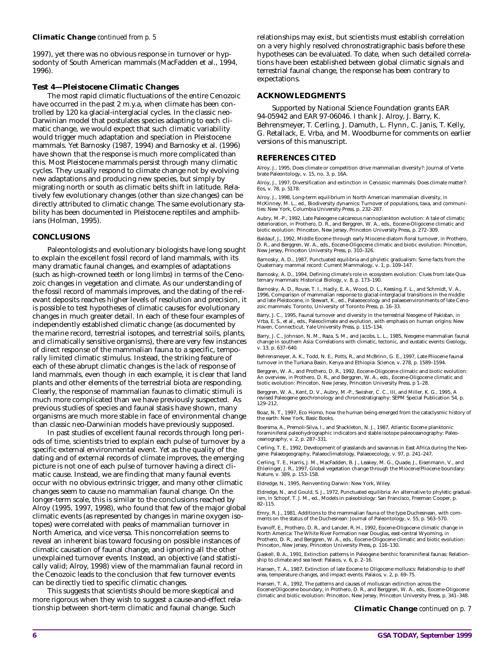#### **Climatic Change** *continued from p. 5*

1997), yet there was no obvious response in turnover or hypsodonty of South American mammals (MacFadden et al., 1994, 1996).

#### **Test 4—Pleistocene Climatic Changes**

The most rapid climatic fluctuations of the entire Cenozoic have occurred in the past 2 m.y.a, when climate has been controlled by 120 ka glacial-interglacial cycles. In the classic neo-Darwinian model that postulates species adapting to each climatic change, we would expect that such climatic variability would trigger much adaptation and speciation in Pleistocene mammals. Yet Barnosky (1987, 1994) and Barnosky et al. (1996) have shown that the response is much more complicated than this. Most Pleistocene mammals persist through many climatic cycles. They usually respond to climate change not by evolving new adaptations and producing new species, but simply by migrating north or south as climatic belts shift in latitude. Relatively few evolutionary changes (other than size changes) can be directly attributed to climatic change. The same evolutionary stability has been documented in Pleistocene reptiles and amphibians (Holman, 1995).

#### **CONCLUSIONS**

Paleontologists and evolutionary biologists have long sought to explain the excellent fossil record of land mammals, with its many dramatic faunal changes, and examples of adaptations (such as high-crowned teeth or long limbs) in terms of the Cenozoic changes in vegetation and climate. As our understanding of the fossil record of mammals improves, and the dating of the relevant deposits reaches higher levels of resolution and precision, it is possible to test hypotheses of climatic causes for evolutionary changes in much greater detail. In each of these four examples of independently established climatic change (as documented by the marine record, terrestrial isotopes, and terrestrial soils, plants, and climatically sensitive organisms), there are very few instances of direct response of the mammalian fauna to a specific, temporally limited climatic stimulus. Instead, the striking feature of each of these abrupt climatic changes is the *lack* of response of land mammals, even though in each example, it is clear that land plants and other elements of the terrestrial biota are responding. Clearly, the response of mammalian faunas to climatic stimuli is much more complicated than we have previously suspected. As previous studies of species and faunal stasis have shown, many organisms are much more stable in face of environmental change than classic neo-Darwinian models have previously supposed.

In past studies of excellent faunal records through long periods of time, scientists tried to explain each pulse of turnover by a specific external environmental event. Yet as the quality of the dating and of external records of climate improves, the emerging picture is not one of each pulse of turnover having a direct climatic cause. Instead, we are finding that many faunal events occur with no obvious extrinsic trigger, and many other climatic changes seem to cause no mammalian faunal change. On the longer-term scale, this is similar to the conclusions reached by Alroy (1995, 1997, 1998), who found that few of the major global climatic events (as represented by changes in marine oxygen isotopes) were correlated with peaks of mammalian turnover in North America, and vice versa. This noncorrelation seems to reveal an inherent bias toward focusing on possible instances of climatic causation of faunal change, and ignoring all the other unexplained turnover events. Instead, an objective (and statistically valid; Alroy, 1998) view of the mammalian faunal record in the Cenozoic leads to the conclusion that few turnover events can be directly tied to specific climatic changes.

This suggests that scientists should be more skeptical and more rigorous when they wish to suggest a cause-and-effect relationship between short-term climatic and faunal change. Such

relationships may exist, but scientists must establish correlation on a very highly resolved chronostratigraphic basis before these hypotheses can be evaluated. To date, when such detailed correlations have been established between global climatic signals and terrestrial faunal change, the response has been contrary to expectations.

#### **ACKNOWLEDGMENTS**

Supported by National Science Foundation grants EAR 94-05942 and EAR 97-06046. I thank J. Alroy, J. Barry, K. Behrensmeyer, T. Cerling, J. Damuth, L. Flynn, C. Janis, T. Kelly, G. Retallack, E. Vrba, and M. Woodburne for comments on earlier versions of this manuscript.

#### **REFERENCES CITED**

Alroy, J., 1995, Does climate or competition drive mammalian diversity?: Journal of Vertebrate Paleontology, v. 15, no. 3, p. 16A.

Alroy, J., 1997, Diversification and extinction in Cenozoic mammals: Does climate matter?: Eos, v. 78, p. S178.

Alroy, J., 1998, Long-term equilibrium in North American mammalian diversity, *in* McKinney, M. L., ed., Biodiversity dynamics: Turnover of populations, taxa, and communities: New York, Columbia University Press, p. 232–287.

Aubry, M.-P., 1992, Late Paleogene calcareous nannoplankton evolution: A tale of climatic deterioration, *in* Prothero, D. R., and Berggren, W. A., eds., Eocene-Oligocene climatic and biotic evolution: Princeton, New Jersey, Princeton University Press, p. 272–309.

Baldauf, J., 1992, Middle Eocene through early Miocene diatom floral turnover, *in* Prothero, D. R., and Berggren, W. A., eds., Eocene-Oligocene climatic and biotic evolution: Princeton, New Jersey, Princeton University Press, p. 310–326.

Barnosky, A. D., 1987, Punctuated equilibria and phyletic gradualism: Some facts from the Quaternary mammal record: Current Mammalogy, v. 1, p. 109–147.

Barnosky, A. D., 1994, Defining climate's role in ecosystem evolution: Clues from late Quaternary mammals: Historical Biology, v. 8, p. 173–190.

Barnosky, A. D., Rouse, T. I., Hadly, E. A., Wood, D. L., Keesing, F. L., and Schmidt, V. A., 1996, Comparison of mammalian response to glacial-interglacial transitions in the middle and late Pleistocene, *in* Stewart, K., ed., Palaeoecology and palaeoenvironments of late Cenozoic mammals: Toronto, University of Toronto Press, p. 16–33.

Barry, J. C., 1995, Faunal turnover and diversity in the terrestrial Neogene of Pakistan, *in* Vrba, E. S., et al., eds., Paleoclimate and evolution, with emphasis on human origins: New Haven, Connecticut, Yale University Press, p. 115–134.

Barry, J. C., Johnson, N. M., Raza, S. M., and Jacobs, L. L., 1985, Neogene mammalian faunal change in southern Asia: Correlations with climatic, tectonic, and eustatic events: Geology, v. 13, p. 637–640.

Behrensmeyer, A. K., Todd, N. E., Potts, R., and McBrinn, G. E., 1997, Late Pliocene faunal turnover in the Turkana Basin, Kenya and Ethiopia: Science, v. 278, p. 1589–1594.

Berggren, W. A., and Prothero, D. R., 1992, Eocene-Oligocene climatic and biotic evolution: An overview, *in* Prothero, D. R., and Berggren, W. A., eds., Eocene-Oligocene climatic and biotic evolution: Princeton, New Jersey, Princeton University Press, p 1–28.

Berggren, W. A., Kent, D. V., Aubry, M.-P., Swisher, C. C., III, and Miller, K. G., 1995, A<br>revised Paleogene geochronology and chronostratigraphy: SEPM Special Publication 54, p. 129–212.

Boaz, N. T., 1997, Eco Homo, how the human being emerged from the cataclysmic history of the earth: New York, Basic Books.

Boersma, A., Premoli-Silva, I., and Shackleton, N. J., 1987, Atlantic Eocene planktonic foraminiferal paleohydrographic indicators and stable isotope paleoceanography: Paleo-ceanography, v. 2, p. 287–331.

Cerling, T. E., 1992, Development of grasslands and savannas in East Africa during the Neogene: Palaeogeography, Palaeoclimatology, Palaeoecology, v. 97, p. 241–247.

Cerling, T. E., Harris, J. M., MacFadden, B. J., Leakey, M. G., Quade, J., Eisenmann, V., and Ehleringer, J. R., 1997, Global vegetation change through the Miocene/Pliocene boundary: Nature, v. 389, p. 153–158.

Eldredge, N., 1995, Reinventing Darwin: New York, Wiley.

Eldredge, N., and Gould, S. J., 1972, Punctuated equilibria: An alternative to phyletic gradualism, *in* Schopf, T. J. M., ed., Models in paleobiology: San Francisco, Freeman Cooper, p. 82–115.

Emry, R. J., 1981, Additions to the mammalian fauna of the type Duchesnean, with comments on the status of the Duchesnean: Journal of Paleontology, v. 55, p. 563-570.

Evanoff, E., Prothero, D. R., and Lander, R. H., 1992, Eocene-Oligocene climatic change in North America: The White River Formation near Douglas, east-central Wyoming, *in* Prothero, D. R., and Berggren, W. A., eds., Eocene-Oligocene climatic and biotic evolution: Princeton, New Jersey, Princeton University Press, p. 116–130.

Gaskell, B. A., 1991, Extinction patterns in Paleogene benthic foraminiferal faunas: Relationship to climate and sea level: Palaios, v. 6, p. 2–16.

Hansen, T. A., 1987, Extinction of late Eocene to Oligocene molluscs: Relationship to shelf area, temperature changes, and impact events: Palaios, v. 2, p. 69–75.

Hansen, T. A., 1992, The patterns and causes of molluscan extinction across the Eocene/Oligocene boundary, *in* Prothero, D. R., and Berggren, W. A., eds., Eocene-Oligocene climatic and biotic evolution: Princeton, New Jersey, Princeton University Press, p. 341–348.

**Climatic Change** *continued on p. 7*